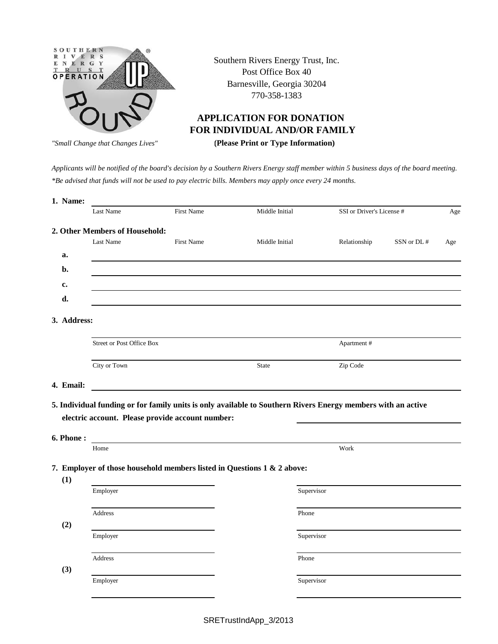

Southern Rivers Energy Trust, Inc. Post Office Box 40 Barnesville, Georgia 30204 770-358-1383

## **APPLICATION FOR DONATION FOR INDIVIDUAL AND/OR FAMILY**

 **(Please Print or Type Information)** *"Small Change that Changes Lives"*

*Applicants will be notified of the board's decision by a Southern Rivers Energy staff member within 5 business days of the board meeting. \*Be advised that funds will not be used to pay electric bills. Members may apply once every 24 months.*

| 1. Name:    |                                                  |                   |                                                                                                              |                           |            |     |
|-------------|--------------------------------------------------|-------------------|--------------------------------------------------------------------------------------------------------------|---------------------------|------------|-----|
|             | Last Name                                        | First Name        | Middle Initial                                                                                               | SSI or Driver's License # |            | Age |
|             | 2. Other Members of Household:                   |                   |                                                                                                              |                           |            |     |
|             | Last Name                                        | <b>First Name</b> | Middle Initial                                                                                               | Relationship              | SSN or DL# | Age |
| a.          |                                                  |                   |                                                                                                              |                           |            |     |
| b.          |                                                  |                   |                                                                                                              |                           |            |     |
| c.          |                                                  |                   |                                                                                                              |                           |            |     |
| d.          |                                                  |                   |                                                                                                              |                           |            |     |
| 3. Address: |                                                  |                   |                                                                                                              |                           |            |     |
|             | <b>Street or Post Office Box</b>                 |                   |                                                                                                              | Apartment#                |            |     |
|             | City or Town                                     |                   | <b>State</b>                                                                                                 | Zip Code                  |            |     |
| 4. Email:   |                                                  |                   |                                                                                                              |                           |            |     |
| 6. Phone:   | electric account. Please provide account number: |                   | 5. Individual funding or for family units is only available to Southern Rivers Energy members with an active |                           |            |     |
|             | Home                                             |                   |                                                                                                              | Work                      |            |     |
|             |                                                  |                   | 7. Employer of those household members listed in Questions 1 & 2 above:                                      |                           |            |     |
| (1)         | Employer                                         |                   | Supervisor                                                                                                   |                           |            |     |
| (2)         | Address                                          |                   | Phone                                                                                                        |                           |            |     |
|             | Employer                                         |                   |                                                                                                              |                           |            |     |
|             |                                                  |                   | Supervisor                                                                                                   |                           |            |     |
| (3)         | Address                                          |                   | Phone                                                                                                        |                           |            |     |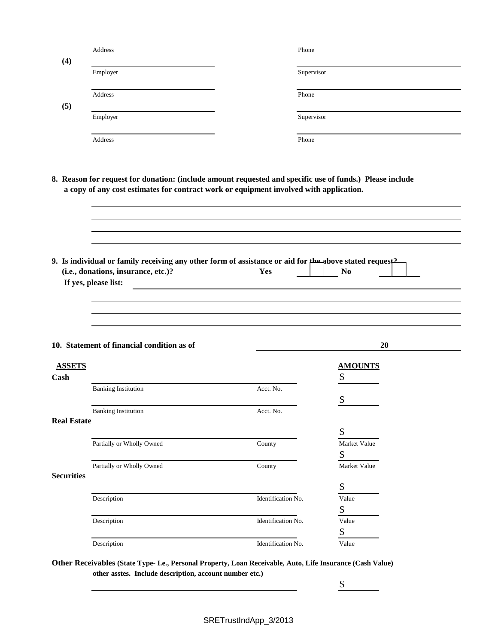| (4)                | Address                                                                                                                                                                                            | Phone              |                            |  |
|--------------------|----------------------------------------------------------------------------------------------------------------------------------------------------------------------------------------------------|--------------------|----------------------------|--|
|                    | Employer                                                                                                                                                                                           | Supervisor         |                            |  |
|                    | Address                                                                                                                                                                                            | Phone              |                            |  |
| (5)                | Employer                                                                                                                                                                                           | Supervisor         |                            |  |
|                    | Address                                                                                                                                                                                            | Phone              |                            |  |
|                    | 8. Reason for request for donation: (include amount requested and specific use of funds.) Please include<br>a copy of any cost estimates for contract work or equipment involved with application. |                    |                            |  |
|                    | 9. Is individual or family receiving any other form of assistance or aid for the above stated request <sup>2</sup><br>(i.e., donations, insurance, etc.)?<br>If yes, please list:                  | Yes                | N <sub>0</sub>             |  |
|                    | 10. Statement of financial condition as of                                                                                                                                                         |                    | 20                         |  |
| <b>ASSETS</b>      |                                                                                                                                                                                                    |                    | <b>AMOUNTS</b>             |  |
| Cash               |                                                                                                                                                                                                    |                    | \$                         |  |
|                    | <b>Banking Institution</b>                                                                                                                                                                         | Acct. No.          | \$                         |  |
|                    | <b>Banking Institution</b>                                                                                                                                                                         | Acct. No.          |                            |  |
| <b>Real Estate</b> |                                                                                                                                                                                                    |                    | \$                         |  |
|                    | Partially or Wholly Owned                                                                                                                                                                          | County             | Market Value               |  |
| <b>Securities</b>  | Partially or Wholly Owned                                                                                                                                                                          | County             | \$<br>Market Value         |  |
|                    |                                                                                                                                                                                                    |                    | \$                         |  |
|                    | Description                                                                                                                                                                                        | Identification No. | Value                      |  |
|                    |                                                                                                                                                                                                    |                    | \$                         |  |
|                    |                                                                                                                                                                                                    |                    |                            |  |
|                    | Description                                                                                                                                                                                        | Identification No. | Value                      |  |
|                    | Description                                                                                                                                                                                        | Identification No. | $\boldsymbol{\$}$<br>Value |  |

**Other Receivables (State Type- I.e., Personal Property, Loan Receivable, Auto, Life Insurance (Cash Value) other asstes. Include description, account number etc.)**

 $\frac{\text{S}}{\text{S}}$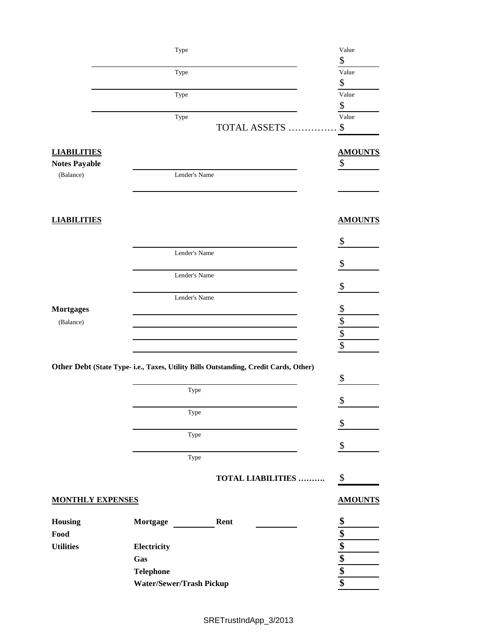|                         | Type                     |                                                                                      | Value                      |
|-------------------------|--------------------------|--------------------------------------------------------------------------------------|----------------------------|
|                         |                          |                                                                                      | \$                         |
|                         | Type                     |                                                                                      | Value                      |
|                         |                          |                                                                                      | \$                         |
|                         | Type                     |                                                                                      | Value                      |
|                         |                          |                                                                                      | \$                         |
|                         | Type                     |                                                                                      | Value                      |
|                         |                          | <b>TOTAL ASSETS.</b>                                                                 | \$                         |
| <b>LIABILITIES</b>      |                          |                                                                                      | <b>AMOUNTS</b>             |
| <b>Notes Payable</b>    |                          |                                                                                      | \$                         |
| (Balance)               | Lender's Name            |                                                                                      |                            |
|                         |                          |                                                                                      |                            |
|                         |                          |                                                                                      |                            |
| <b>LIABILITIES</b>      |                          |                                                                                      | <b>AMOUNTS</b>             |
|                         |                          |                                                                                      | \$                         |
|                         | Lender's Name            |                                                                                      |                            |
|                         |                          |                                                                                      | \$                         |
|                         | Lender's Name            |                                                                                      | \$                         |
|                         | Lender's Name            |                                                                                      |                            |
| <b>Mortgages</b>        |                          |                                                                                      |                            |
| (Balance)               |                          |                                                                                      |                            |
|                         |                          |                                                                                      |                            |
|                         |                          |                                                                                      | $rac{3}{3}$<br>$rac{3}{3}$ |
|                         |                          | Other Debt (State Type- i.e., Taxes, Utility Bills Outstanding, Credit Cards, Other) |                            |
|                         |                          |                                                                                      | \$                         |
|                         | Type                     |                                                                                      |                            |
|                         |                          |                                                                                      | \$                         |
|                         |                          | Type                                                                                 |                            |
|                         |                          |                                                                                      | \$                         |
|                         |                          | Type                                                                                 |                            |
|                         |                          |                                                                                      | \$                         |
|                         |                          | Type                                                                                 |                            |
|                         |                          | <b>TOTAL LIABILITIES </b>                                                            | \$                         |
| <b>MONTHLY EXPENSES</b> |                          |                                                                                      | <b>AMOUNTS</b>             |
| Housing                 | Mortgage                 | Rent                                                                                 | \$                         |
| Food                    |                          |                                                                                      | \$                         |
| <b>Utilities</b>        | Electricity              |                                                                                      |                            |
|                         | Gas                      |                                                                                      |                            |
|                         | <b>Telephone</b>         |                                                                                      |                            |
|                         | Water/Sewer/Trash Pickup |                                                                                      | $\frac{\$}{\$}$            |
|                         |                          |                                                                                      |                            |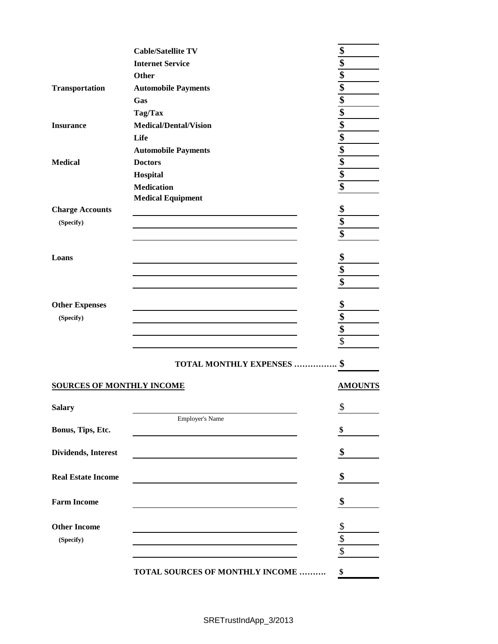|                                  | <b>Cable/Satellite TV</b>       | \$                                              |
|----------------------------------|---------------------------------|-------------------------------------------------|
|                                  | <b>Internet Service</b>         | \$                                              |
|                                  | Other                           | \$                                              |
| <b>Transportation</b>            | <b>Automobile Payments</b>      | \$                                              |
|                                  | Gas                             |                                                 |
|                                  | Tag/Tax                         |                                                 |
| <b>Insurance</b>                 | <b>Medical/Dental/Vision</b>    | $\frac{16}{10}$                                 |
|                                  | Life                            |                                                 |
|                                  | <b>Automobile Payments</b>      | $\frac{1}{2}$<br>$\frac{1}{2}$<br>$\frac{1}{2}$ |
| <b>Medical</b>                   | <b>Doctors</b>                  |                                                 |
|                                  | Hospital                        |                                                 |
|                                  | <b>Medication</b>               | \$                                              |
|                                  | <b>Medical Equipment</b>        |                                                 |
| <b>Charge Accounts</b>           |                                 | \$                                              |
| (Specify)                        |                                 | \$                                              |
|                                  |                                 | \$                                              |
|                                  |                                 |                                                 |
| Loans                            |                                 | \$                                              |
|                                  |                                 | \$                                              |
|                                  |                                 | \$                                              |
| <b>Other Expenses</b>            |                                 | \$                                              |
| (Specify)                        |                                 | \$                                              |
|                                  |                                 | $\overline{\mathbf{\$}}$                        |
|                                  |                                 | $\overline{\$}$                                 |
|                                  | <b>TOTAL MONTHLY EXPENSES</b>   | \$                                              |
| <b>SOURCES OF MONTHLY INCOME</b> |                                 | <b>AMOUNTS</b>                                  |
|                                  |                                 |                                                 |
| <b>Salary</b>                    |                                 | \$                                              |
|                                  | Employer's Name                 |                                                 |
| Bonus, Tips, Etc.                |                                 | \$                                              |
| Dividends, Interest              |                                 | \$                                              |
|                                  |                                 |                                                 |
| <b>Real Estate Income</b>        |                                 | \$                                              |
| <b>Farm Income</b>               |                                 | \$                                              |
|                                  |                                 |                                                 |
| <b>Other Income</b>              |                                 | \$                                              |
| (Specify)                        |                                 | $\overline{\$}$                                 |
|                                  |                                 | $\overline{\$}$                                 |
|                                  | TOTAL SOURCES OF MONTHLY INCOME | \$                                              |